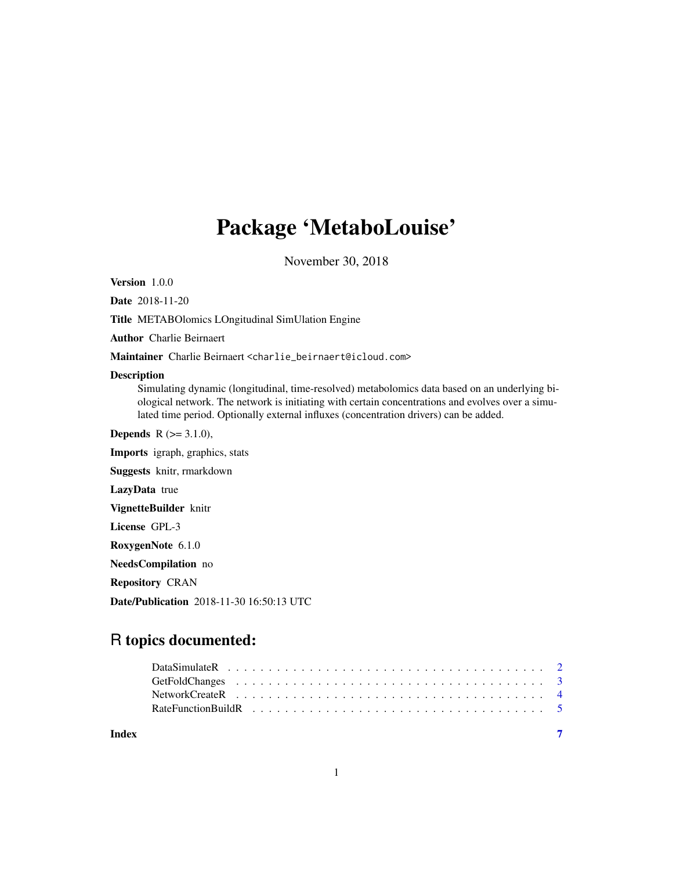# Package 'MetaboLouise'

November 30, 2018

<span id="page-0-0"></span>Version 1.0.0

Date 2018-11-20

Title METABOlomics LOngitudinal SimUlation Engine

Author Charlie Beirnaert

Maintainer Charlie Beirnaert <charlie\_beirnaert@icloud.com>

#### Description

Simulating dynamic (longitudinal, time-resolved) metabolomics data based on an underlying biological network. The network is initiating with certain concentrations and evolves over a simulated time period. Optionally external influxes (concentration drivers) can be added.

**Depends** R  $(>= 3.1.0)$ , Imports igraph, graphics, stats Suggests knitr, rmarkdown LazyData true VignetteBuilder knitr License GPL-3 RoxygenNote 6.1.0 NeedsCompilation no Repository CRAN

Date/Publication 2018-11-30 16:50:13 UTC

# R topics documented:

| Index |  |
|-------|--|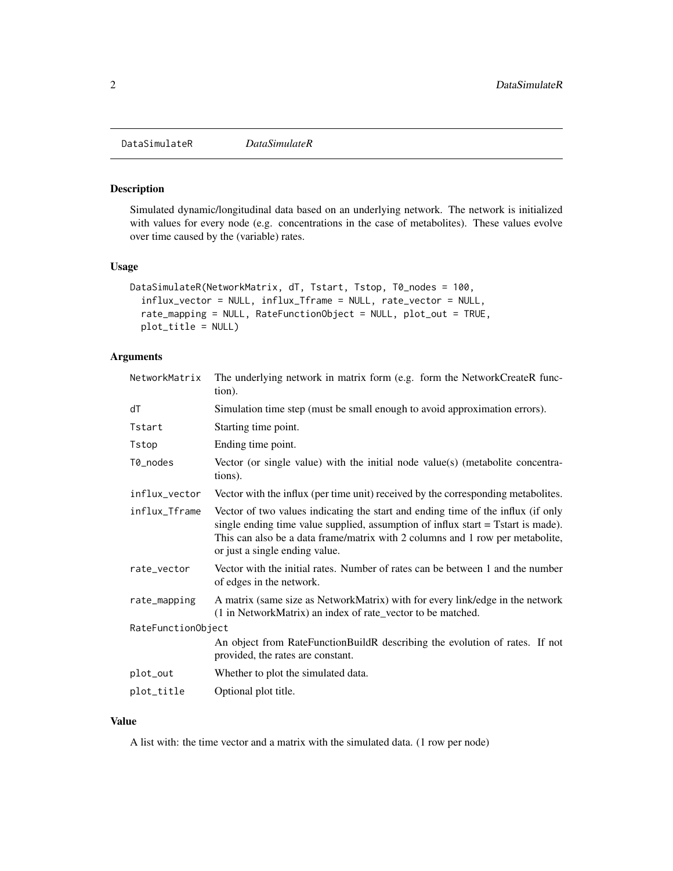<span id="page-1-0"></span>DataSimulateR *DataSimulateR*

# Description

Simulated dynamic/longitudinal data based on an underlying network. The network is initialized with values for every node (e.g. concentrations in the case of metabolites). These values evolve over time caused by the (variable) rates.

# Usage

```
DataSimulateR(NetworkMatrix, dT, Tstart, Tstop, T0_nodes = 100,
  influx_vector = NULL, influx_Tframe = NULL, rate_vector = NULL,
  rate_mapping = NULL, RateFunctionObject = NULL, plot_out = TRUE,
 plot_title = NULL)
```
# Arguments

| NetworkMatrix      | The underlying network in matrix form (e.g. form the NetworkCreateR func-<br>tion).                                                                                                                                                                                                     |
|--------------------|-----------------------------------------------------------------------------------------------------------------------------------------------------------------------------------------------------------------------------------------------------------------------------------------|
| dT                 | Simulation time step (must be small enough to avoid approximation errors).                                                                                                                                                                                                              |
| Tstart             | Starting time point.                                                                                                                                                                                                                                                                    |
| Tstop              | Ending time point.                                                                                                                                                                                                                                                                      |
| T0_nodes           | Vector (or single value) with the initial node value(s) (metabolite concentra-<br>tions).                                                                                                                                                                                               |
| influx_vector      | Vector with the influx (per time unit) received by the corresponding metabolites.                                                                                                                                                                                                       |
| influx_Tframe      | Vector of two values indicating the start and ending time of the influx (if only<br>single ending time value supplied, assumption of influx start = Tstart is made).<br>This can also be a data frame/matrix with 2 columns and 1 row per metabolite,<br>or just a single ending value. |
| rate_vector        | Vector with the initial rates. Number of rates can be between 1 and the number<br>of edges in the network.                                                                                                                                                                              |
| rate_mapping       | A matrix (same size as NetworkMatrix) with for every link/edge in the network<br>(1 in NetworkMatrix) an index of rate_vector to be matched.                                                                                                                                            |
| RateFunctionObject |                                                                                                                                                                                                                                                                                         |
|                    | An object from RateFunctionBuildR describing the evolution of rates. If not<br>provided, the rates are constant.                                                                                                                                                                        |
| plot_out           | Whether to plot the simulated data.                                                                                                                                                                                                                                                     |
| plot_title         | Optional plot title.                                                                                                                                                                                                                                                                    |

# Value

A list with: the time vector and a matrix with the simulated data. (1 row per node)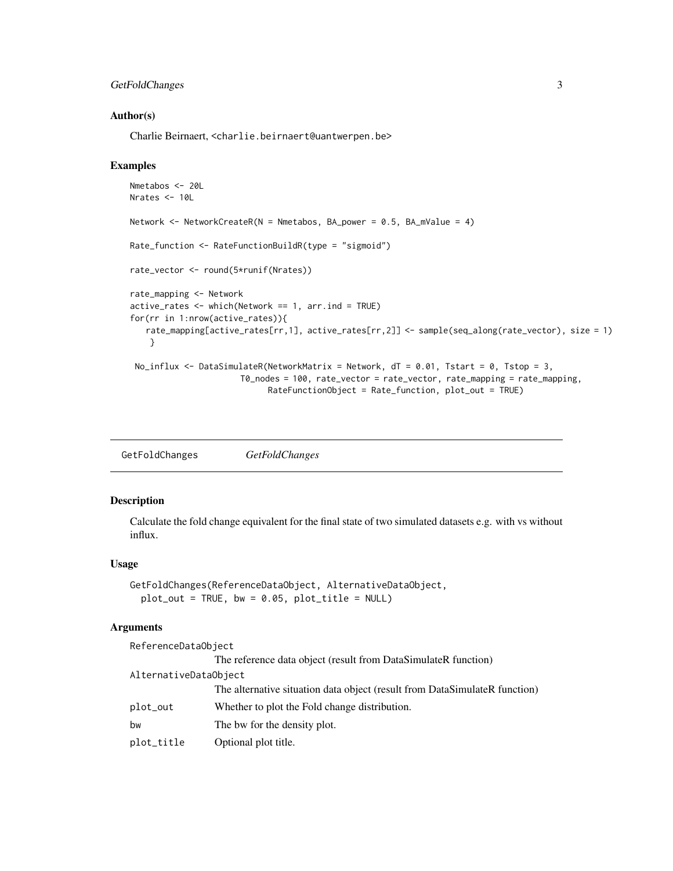# <span id="page-2-0"></span>GetFoldChanges 3

#### Author(s)

Charlie Beirnaert, <charlie.beirnaert@uantwerpen.be>

#### Examples

```
Nmetabos <- 20L
Nrates <- 10L
Network <- NetworkCreateR(N = Nmetabos, BA_power = 0.5, BA_mValue = 4)
Rate_function <- RateFunctionBuildR(type = "sigmoid")
rate_vector <- round(5*runif(Nrates))
rate_mapping <- Network
active\_rates \leq which(Network == 1, arr.ind = TRUE)for(rr in 1:nrow(active_rates)){
   rate_mapping[active_rates[rr,1], active_rates[rr,2]] <- sample(seq_along(rate_vector), size = 1)
    }
 No_influx <- DataSimulateR(NetworkMatrix = Network, dT = 0.01, Tstart = 0, Tstop = 3,
                      T0_nodes = 100, rate_vector = rate_vector, rate_mapping = rate_mapping,
                            RateFunctionObject = Rate_function, plot_out = TRUE)
```

| GetFoldChanges | <b>GetFoldChanges</b> |
|----------------|-----------------------|
|                |                       |

#### Description

Calculate the fold change equivalent for the final state of two simulated datasets e.g. with vs without influx.

# Usage

```
GetFoldChanges(ReferenceDataObject, AlternativeDataObject,
  plot\_out = TRUE, bw = 0.05, plot\_title = NULL)
```
#### Arguments

| ReferenceDataObject   |                                                                            |
|-----------------------|----------------------------------------------------------------------------|
|                       | The reference data object (result from DataSimulateR function)             |
| AlternativeDataObject |                                                                            |
|                       | The alternative situation data object (result from DataSimulateR function) |
| plot_out              | Whether to plot the Fold change distribution.                              |
| bw                    | The bw for the density plot.                                               |
| plot_title            | Optional plot title.                                                       |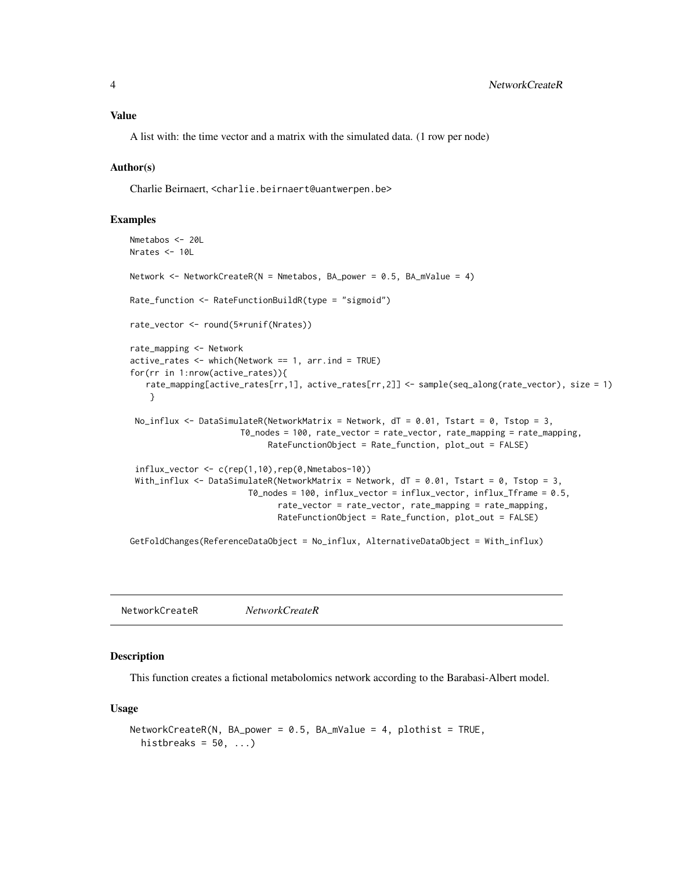#### <span id="page-3-0"></span>Value

A list with: the time vector and a matrix with the simulated data. (1 row per node)

#### Author(s)

Charlie Beirnaert, <charlie.beirnaert@uantwerpen.be>

#### Examples

```
Nmetabos <- 20L
Nrates < -10lNetwork <- NetworkCreateR(N = Nmetabos, BA_power = 0.5, BA_mValue = 4)
Rate_function <- RateFunctionBuildR(type = "sigmoid")
rate_vector <- round(5*runif(Nrates))
rate_mapping <- Network
active\_rates \leftarrow which(Network == 1, arr.ind = TRUE)for(rr in 1:nrow(active_rates)){
   rate_mapping[active_rates[rr,1], active_rates[rr,2]] <- sample(seq_along(rate_vector), size = 1)
    }
 No_influx \leq DataSimulateR(NetworkMatrix = Network, dT = 0.01, Tstart = 0, Tstop = 3,
                       T0_nodes = 100, rate_vector = rate_vector, rate_mapping = rate_mapping,
                             RateFunctionObject = Rate_function, plot_out = FALSE)
 influx\_vector \leftarrow c(rep(1,10),rep(0,Nmetabos-10))With_influx <- DataSimulateR(NetworkMatrix = Network, dT = 0.01, Tstart = 0, Tstop = 3,
                        T0_nodes = 100, influx_vector = influx_vector, influx_Tframe = 0.5,
                               rate_vector = rate_vector, rate_mapping = rate_mapping,
                              RateFunctionObject = Rate_function, plot_out = FALSE)
GetFoldChanges(ReferenceDataObject = No_influx, AlternativeDataObject = With_influx)
```
NetworkCreateR *NetworkCreateR*

#### Description

This function creates a fictional metabolomics network according to the Barabasi-Albert model.

#### Usage

```
NetworkCreateR(N, BA\_power = 0.5, BA_mValue = 4, plothist = TRUE,histbreaks = 50, ...)
```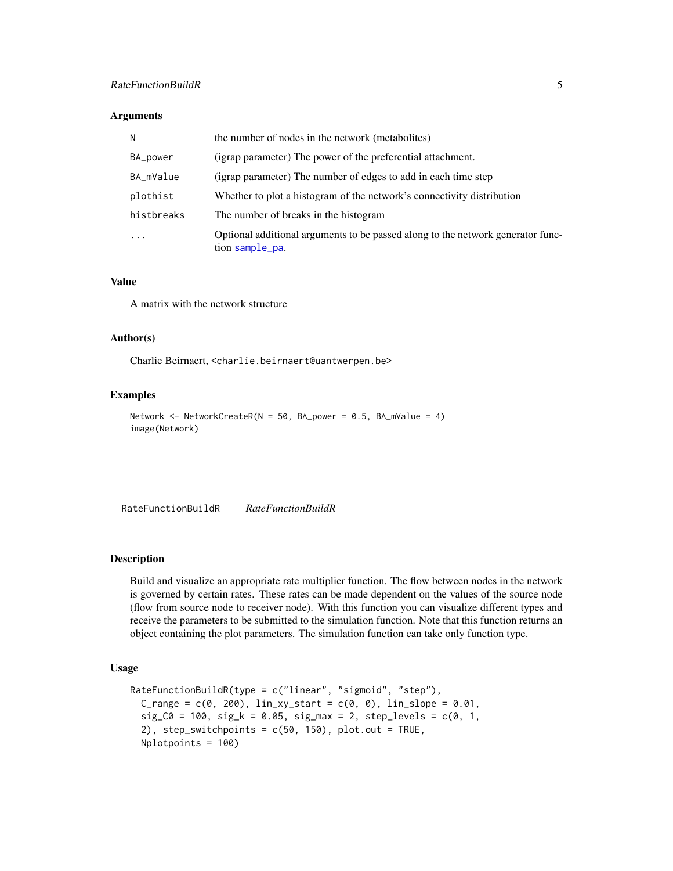#### <span id="page-4-0"></span>RateFunctionBuildR 5

#### **Arguments**

| N          | the number of nodes in the network (metabolites)                                                   |
|------------|----------------------------------------------------------------------------------------------------|
| BA_power   | (igrap parameter) The power of the preferential attachment.                                        |
| BA_mValue  | (igrap parameter) The number of edges to add in each time step                                     |
| plothist   | Whether to plot a histogram of the network's connectivity distribution                             |
| histbreaks | The number of breaks in the histogram                                                              |
| $\cdots$   | Optional additional arguments to be passed along to the network generator func-<br>tion sample_pa. |

#### Value

A matrix with the network structure

#### Author(s)

Charlie Beirnaert, <charlie.beirnaert@uantwerpen.be>

#### Examples

```
Network <- NetworkCreateR(N = 50, BA_power = 0.5, BA_mValue = 4)
image(Network)
```
RateFunctionBuildR *RateFunctionBuildR*

#### Description

Build and visualize an appropriate rate multiplier function. The flow between nodes in the network is governed by certain rates. These rates can be made dependent on the values of the source node (flow from source node to receiver node). With this function you can visualize different types and receive the parameters to be submitted to the simulation function. Note that this function returns an object containing the plot parameters. The simulation function can take only function type.

#### Usage

```
RateFunctionBuildR(type = c("linear", "sigmoid", "step"),
  C_{range} = c(0, 200), lin_{xy\_start} = c(0, 0), lin_{slope} = 0.01,sig_C0 = 100, sig_k = 0.05, sig_max = 2, step\_levels = c(0, 1, 1)2), step_switchpoints = c(50, 150), plot.out = TRUE,
  Nplotpoints = 100)
```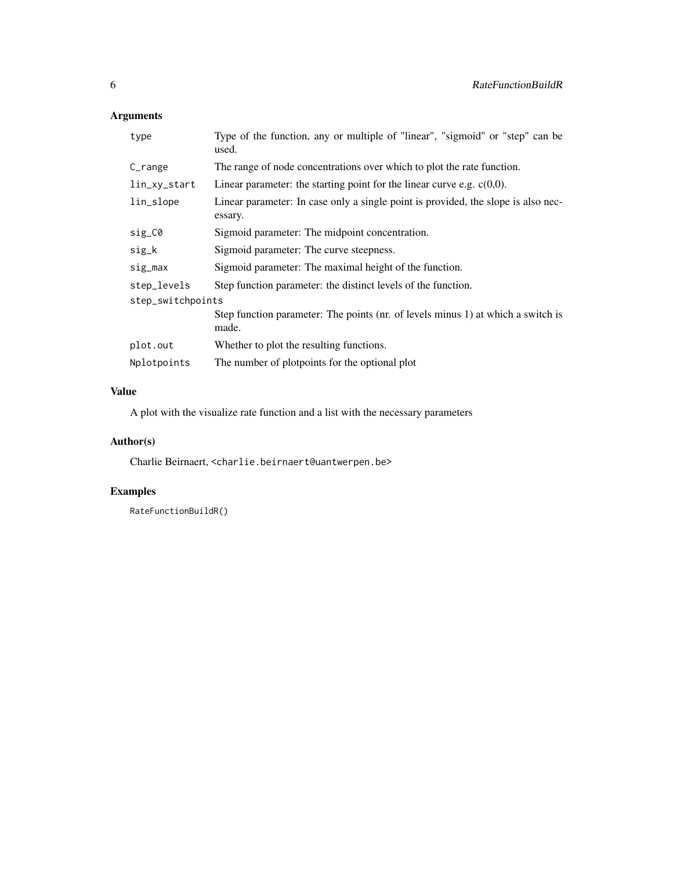# Arguments

| type              | Type of the function, any or multiple of "linear", "sigmoid" or "step" can be<br>used.       |  |  |  |
|-------------------|----------------------------------------------------------------------------------------------|--|--|--|
| C <sub>max</sub>  | The range of node concentrations over which to plot the rate function.                       |  |  |  |
| lin_xy_start      | Linear parameter: the starting point for the linear curve e.g. $c(0,0)$ .                    |  |  |  |
| lin_slope         | Linear parameter: In case only a single point is provided, the slope is also nec-<br>essary. |  |  |  |
| sig_C0            | Sigmoid parameter: The midpoint concentration.                                               |  |  |  |
| sig_k             | Sigmoid parameter: The curve steepness.                                                      |  |  |  |
| sig_max           | Sigmoid parameter: The maximal height of the function.                                       |  |  |  |
| step_levels       | Step function parameter: the distinct levels of the function.                                |  |  |  |
| step_switchpoints |                                                                                              |  |  |  |
|                   | Step function parameter: The points (nr. of levels minus 1) at which a switch is<br>made.    |  |  |  |
| plot.out          | Whether to plot the resulting functions.                                                     |  |  |  |
| Nplotpoints       | The number of plotpoints for the optional plot                                               |  |  |  |

# Value

A plot with the visualize rate function and a list with the necessary parameters

# Author(s)

Charlie Beirnaert, <charlie.beirnaert@uantwerpen.be>

# Examples

RateFunctionBuildR()